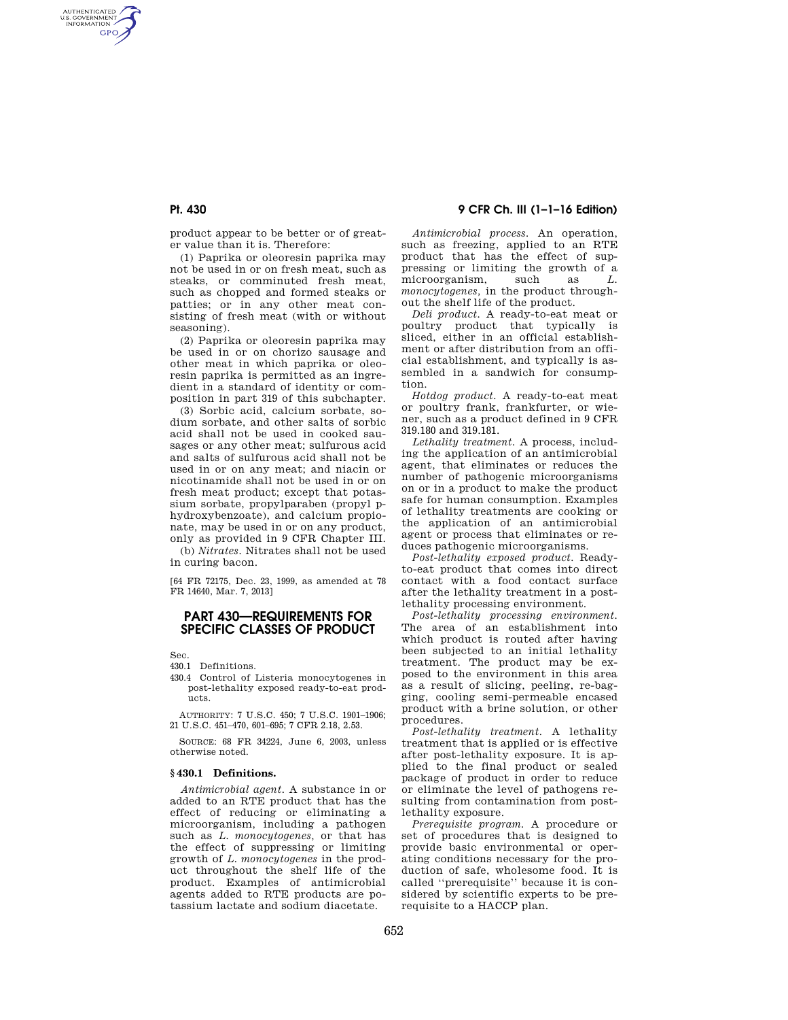# **Pt. 430 9 CFR Ch. III (1–1–16 Edition)**

product appear to be better or of greater value than it is. Therefore:

(1) Paprika or oleoresin paprika may not be used in or on fresh meat, such as steaks, or comminuted fresh meat, such as chopped and formed steaks or patties; or in any other meat consisting of fresh meat (with or without seasoning).

(2) Paprika or oleoresin paprika may be used in or on chorizo sausage and other meat in which paprika or oleoresin paprika is permitted as an ingredient in a standard of identity or composition in part 319 of this subchapter.

(3) Sorbic acid, calcium sorbate, sodium sorbate, and other salts of sorbic acid shall not be used in cooked sausages or any other meat; sulfurous acid and salts of sulfurous acid shall not be used in or on any meat; and niacin or nicotinamide shall not be used in or on fresh meat product; except that potassium sorbate, propylparaben (propyl phydroxybenzoate), and calcium propionate, may be used in or on any product, only as provided in 9 CFR Chapter III.

(b) *Nitrates.* Nitrates shall not be used in curing bacon.

[64 FR 72175, Dec. 23, 1999, as amended at 78 FR 14640, Mar. 7, 2013]

## **PART 430—REQUIREMENTS FOR SPECIFIC CLASSES OF PRODUCT**

Sec.

AUTHENTICATED<br>U.S. GOVERNMENT<br>INFORMATION GPO

- 430.1 Definitions.
- 430.4 Control of Listeria monocytogenes in post-lethality exposed ready-to-eat products.

AUTHORITY: 7 U.S.C. 450; 7 U.S.C. 1901–1906; 21 U.S.C. 451–470, 601–695; 7 CFR 2.18, 2.53.

SOURCE: 68 FR 34224, June 6, 2003, unless otherwise noted.

#### **§ 430.1 Definitions.**

*Antimicrobial agent.* A substance in or added to an RTE product that has the effect of reducing or eliminating a microorganism, including a pathogen such as *L. monocytogenes,* or that has the effect of suppressing or limiting growth of *L. monocytogenes* in the product throughout the shelf life of the product. Examples of antimicrobial agents added to RTE products are potassium lactate and sodium diacetate.

*Antimicrobial process.* An operation, such as freezing, applied to an RTE product that has the effect of suppressing or limiting the growth of a microorganism. such as  $L$ microorganism, such as *L. monocytogenes,* in the product throughout the shelf life of the product.

*Deli product.* A ready-to-eat meat or poultry product that typically is sliced, either in an official establishment or after distribution from an official establishment, and typically is assembled in a sandwich for consumption.

*Hotdog product.* A ready-to-eat meat or poultry frank, frankfurter, or wiener, such as a product defined in 9 CFR 319.180 and 319.181.

*Lethality treatment.* A process, including the application of an antimicrobial agent, that eliminates or reduces the number of pathogenic microorganisms on or in a product to make the product safe for human consumption. Examples of lethality treatments are cooking or the application of an antimicrobial agent or process that eliminates or reduces pathogenic microorganisms.

*Post-lethality exposed product.* Readyto-eat product that comes into direct contact with a food contact surface after the lethality treatment in a postlethality processing environment.

*Post-lethality processing environment.*  The area of an establishment into which product is routed after having been subjected to an initial lethality treatment. The product may be exposed to the environment in this area as a result of slicing, peeling, re-bagging, cooling semi-permeable encased product with a brine solution, or other procedures.

*Post-lethality treatment.* A lethality treatment that is applied or is effective after post-lethality exposure. It is applied to the final product or sealed package of product in order to reduce or eliminate the level of pathogens resulting from contamination from postlethality exposure.

*Prerequisite program.* A procedure or set of procedures that is designed to provide basic environmental or operating conditions necessary for the production of safe, wholesome food. It is called ''prerequisite'' because it is considered by scientific experts to be prerequisite to a HACCP plan.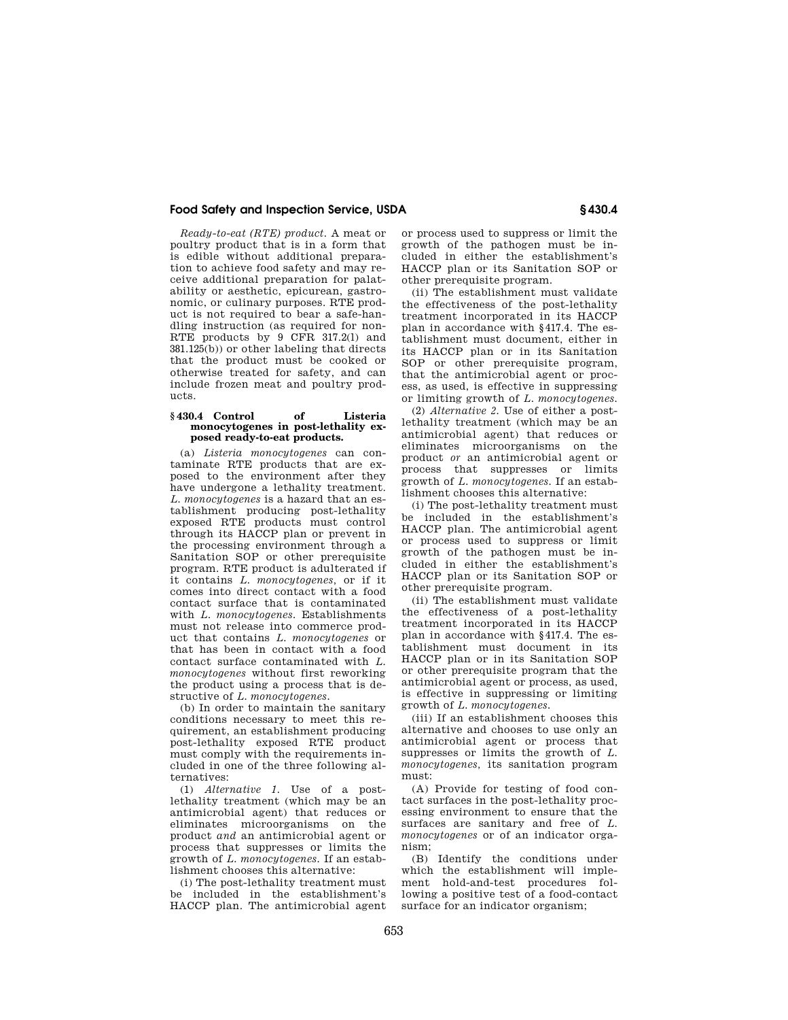## **Food Safety and Inspection Service, USDA § 430.4**

*Ready-to-eat (RTE) product.* A meat or poultry product that is in a form that is edible without additional preparation to achieve food safety and may receive additional preparation for palatability or aesthetic, epicurean, gastronomic, or culinary purposes. RTE product is not required to bear a safe-handling instruction (as required for non-RTE products by 9 CFR 317.2(l) and 381.125(b)) or other labeling that directs that the product must be cooked or otherwise treated for safety, and can include frozen meat and poultry products.

#### **§ 430.4 Control of Listeria monocytogenes in post-lethality exposed ready-to-eat products.**

(a) *Listeria monocytogenes* can contaminate RTE products that are exposed to the environment after they have undergone a lethality treatment. *L. monocytogenes* is a hazard that an establishment producing post-lethality exposed RTE products must control through its HACCP plan or prevent in the processing environment through a Sanitation SOP or other prerequisite program. RTE product is adulterated if it contains *L. monocytogenes,* or if it comes into direct contact with a food contact surface that is contaminated with *L. monocytogenes.* Establishments must not release into commerce product that contains *L. monocytogenes* or that has been in contact with a food contact surface contaminated with *L. monocytogenes* without first reworking the product using a process that is destructive of *L. monocytogenes.* 

(b) In order to maintain the sanitary conditions necessary to meet this requirement, an establishment producing post-lethality exposed RTE product must comply with the requirements included in one of the three following alternatives:

(1) *Alternative 1.* Use of a postlethality treatment (which may be an antimicrobial agent) that reduces or eliminates microorganisms on the product *and* an antimicrobial agent or process that suppresses or limits the growth of *L. monocytogenes.* If an establishment chooses this alternative:

(i) The post-lethality treatment must be included in the establishment's HACCP plan. The antimicrobial agent

or process used to suppress or limit the growth of the pathogen must be included in either the establishment's HACCP plan or its Sanitation SOP or other prerequisite program.

(ii) The establishment must validate the effectiveness of the post-lethality treatment incorporated in its HACCP plan in accordance with §417.4. The establishment must document, either in its HACCP plan or in its Sanitation SOP or other prerequisite program, that the antimicrobial agent or process, as used, is effective in suppressing or limiting growth of *L. monocytogenes.* 

(2) *Alternative 2.* Use of either a postlethality treatment (which may be an antimicrobial agent) that reduces or eliminates microorganisms on the product *or* an antimicrobial agent or process that suppresses or limits growth of *L. monocytogenes.* If an establishment chooses this alternative:

(i) The post-lethality treatment must be included in the establishment's HACCP plan. The antimicrobial agent or process used to suppress or limit growth of the pathogen must be included in either the establishment's HACCP plan or its Sanitation SOP or other prerequisite program.

(ii) The establishment must validate the effectiveness of a post-lethality treatment incorporated in its HACCP plan in accordance with §417.4. The establishment must document in its HACCP plan or in its Sanitation SOP or other prerequisite program that the antimicrobial agent or process, as used, is effective in suppressing or limiting growth of *L. monocytogenes.* 

(iii) If an establishment chooses this alternative and chooses to use only an antimicrobial agent or process that suppresses or limits the growth of *L. monocytogenes,* its sanitation program must:

(A) Provide for testing of food contact surfaces in the post-lethality processing environment to ensure that the surfaces are sanitary and free of *L. monocytogenes* or of an indicator organism;

(B) Identify the conditions under which the establishment will implement hold-and-test procedures following a positive test of a food-contact surface for an indicator organism;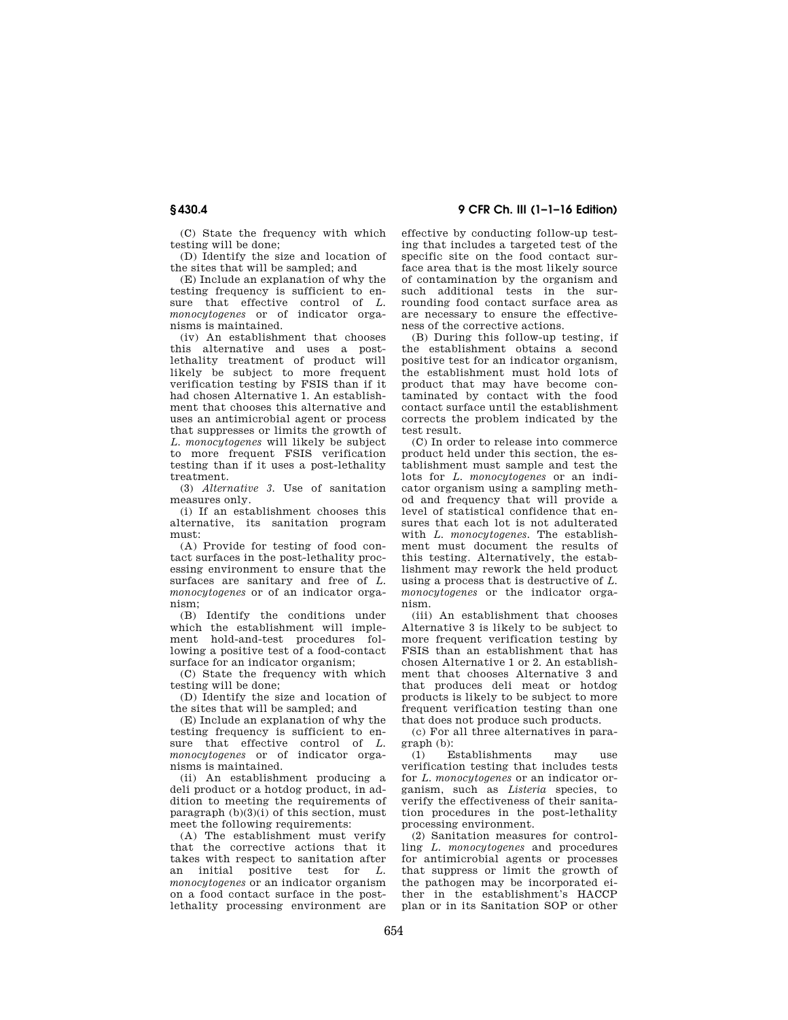(C) State the frequency with which testing will be done;

(D) Identify the size and location of the sites that will be sampled; and

(E) Include an explanation of why the testing frequency is sufficient to ensure that effective control of *L. monocytogenes* or of indicator organisms is maintained.

(iv) An establishment that chooses this alternative and uses a postlethality treatment of product will likely be subject to more frequent verification testing by FSIS than if it had chosen Alternative 1. An establishment that chooses this alternative and uses an antimicrobial agent or process that suppresses or limits the growth of *L. monocytogenes* will likely be subject to more frequent FSIS verification testing than if it uses a post-lethality treatment.

(3) *Alternative 3.* Use of sanitation measures only.

(i) If an establishment chooses this alternative, its sanitation program must:

(A) Provide for testing of food contact surfaces in the post-lethality processing environment to ensure that the surfaces are sanitary and free of *L. monocytogenes* or of an indicator organism;

(B) Identify the conditions under which the establishment will implement hold-and-test procedures following a positive test of a food-contact surface for an indicator organism;

(C) State the frequency with which testing will be done;

(D) Identify the size and location of the sites that will be sampled; and

(E) Include an explanation of why the testing frequency is sufficient to ensure that effective control of *L. monocytogenes* or of indicator organisms is maintained.

(ii) An establishment producing a deli product or a hotdog product, in addition to meeting the requirements of paragraph  $(b)(3)(i)$  of this section, must meet the following requirements:

(A) The establishment must verify that the corrective actions that it takes with respect to sanitation after<br>an initial positive test for  $L$ an initial positive test for *monocytogenes* or an indicator organism on a food contact surface in the postlethality processing environment are

**§ 430.4 9 CFR Ch. III (1–1–16 Edition)** 

effective by conducting follow-up testing that includes a targeted test of the specific site on the food contact surface area that is the most likely source of contamination by the organism and such additional tests in the surrounding food contact surface area as are necessary to ensure the effectiveness of the corrective actions.

(B) During this follow-up testing, if the establishment obtains a second positive test for an indicator organism, the establishment must hold lots of product that may have become contaminated by contact with the food contact surface until the establishment corrects the problem indicated by the test result.

(C) In order to release into commerce product held under this section, the establishment must sample and test the lots for *L. monocytogenes* or an indicator organism using a sampling method and frequency that will provide a level of statistical confidence that ensures that each lot is not adulterated with *L. monocytogenes.* The establishment must document the results of this testing. Alternatively, the establishment may rework the held product using a process that is destructive of *L. monocytogenes* or the indicator organism.

(iii) An establishment that chooses Alternative 3 is likely to be subject to more frequent verification testing by FSIS than an establishment that has chosen Alternative 1 or 2. An establishment that chooses Alternative 3 and that produces deli meat or hotdog products is likely to be subject to more frequent verification testing than one that does not produce such products.

(c) For all three alternatives in paragraph (b):

(1) Establishments may use verification testing that includes tests for *L. monocytogenes* or an indicator organism, such as *Listeria* species, to verify the effectiveness of their sanitation procedures in the post-lethality processing environment.

(2) Sanitation measures for controlling *L. monocytogenes* and procedures for antimicrobial agents or processes that suppress or limit the growth of the pathogen may be incorporated either in the establishment's HACCP plan or in its Sanitation SOP or other